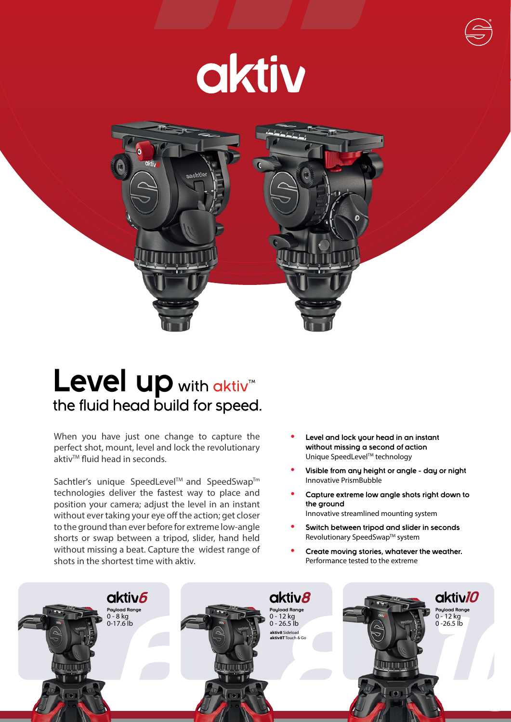# aktiv



## Level up with aktiv<sup>M</sup> the fluid head build for speed.

When you have just one change to capture the perfect shot, mount, level and lock the revolutionary aktiv<sup>™</sup> fluid head in seconds.

Sachtler's unique SpeedLevel™ and SpeedSwap™ technologies deliver the fastest way to place and position your camera; adjust the level in an instant without ever taking your eye off the action; get closer to the ground than ever before for extreme low-angle shorts or swap between a tripod, slider, hand held without missing a beat. Capture the widest range of shots in the shortest time with aktiv.

- **• Level and lock your head in an instant without missing a second of action** Unique SpeedLevel™ technology
- **• Visible from any height or angle day or night** Innovative PrismBubble
- **• Capture extreme low angle shots right down to the ground** Innovative streamlined mounting system
- **• Switch between tripod and slider in seconds** Revolutionary SpeedSwap™ system
- **• Create moving stories, whatever the weather.** Performance tested to the extreme